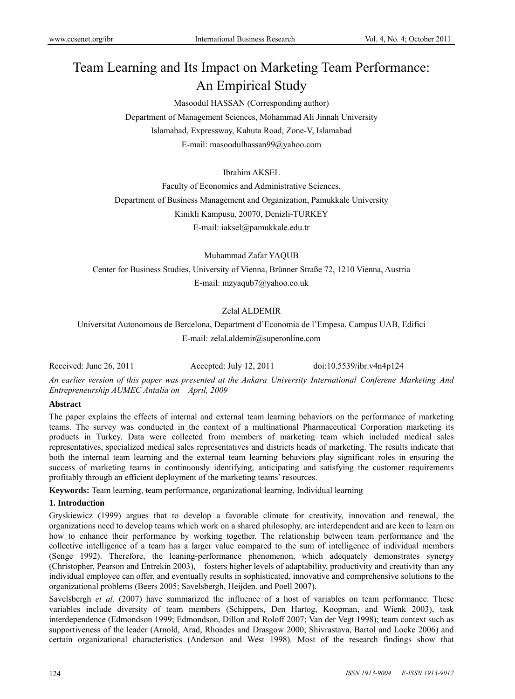# Team Learning and Its Impact on Marketing Team Performance: An Empirical Study

Masoodul HASSAN (Corresponding author) Department of Management Sciences, Mohammad Ali Jinnah University Islamabad, Expressway, Kahuta Road, Zone-V, Islamabad E-mail: masoodulhassan99@yahoo.com

Ibrahim AKSEL

Faculty of Economics and Administrative Sciences, Department of Business Management and Organization, Pamukkale University Kinikli Kampusu, 20070, Denizli-TURKEY E-mail: iaksel@pamukkale.edu.tr

Muhammad Zafar YAQUB

Center for Business Studies, University of Vienna, Brünner Straße 72, 1210 Vienna, Austria E-mail: mzyaqub7@yahoo.co.uk

# Zelal ALDEMIR

Universitat Autonomous de Bercelona, Department d'Economia de l'Empesa, Campus UAB, Edifici E-mail: zelal.aldemir@superonline.com

Received: June 26, 2011 Accepted: July 12, 2011 doi:10.5539/ibr.v4n4p124

*An earlier version of this paper was presented at the Ankara University International Conferene Marketing And Entrepreneurship AUMEC Antalia on Aprıl, 2009* 

#### **Abstract**

The paper explains the effects of internal and external team learning behaviors on the performance of marketing teams. The survey was conducted in the context of a multinational Pharmaceutical Corporation marketing its products in Turkey. Data were collected from members of marketing team which included medical sales representatives, specialized medical sales representatives and districts heads of marketing. The results indicate that both the internal team learning and the external team learning behaviors play significant roles in ensuring the success of marketing teams in continuously identifying, anticipating and satisfying the customer requirements profitably through an efficient deployment of the marketing teams' resources.

**Keywords:** Team learning, team performance, organizational learning, Individual learning

#### **1. Introduction**

Gryskiewicz (1999) argues that to develop a favorable climate for creativity, innovation and renewal, the organizations need to develop teams which work on a shared philosophy, are interdependent and are keen to learn on how to enhance their performance by working together. The relationship between team performance and the collective intelligence of a team has a larger value compared to the sum of intelligence of individual members (Senge 1992). Therefore, the leaning-performance phenomenon, which adequately demonstrates synergy (Christopher, Pearson and Entrekin 2003), fosters higher levels of adaptability, productivity and creativity than any individual employee can offer, and eventually results in sophisticated, innovative and comprehensive solutions to the organizational problems (Beers 2005; Savelsbergh, Heijden. and Poell 2007).

Savelsbergh *et al.* (2007) have summarized the influence of a host of variables on team performance. These variables include diversity of team members (Schippers, Den Hartog, Koopman, and Wienk 2003), task interdependence (Edmondson 1999; Edmondson, Dillon and Roloff 2007; Van der Vegt 1998); team context such as supportiveness of the leader (Arnold, Arad, Rhoades and Drasgow 2000; Shivrastava, Bartol and Locke 2006) and certain organizational characteristics (Anderson and West 1998). Most of the research findings show that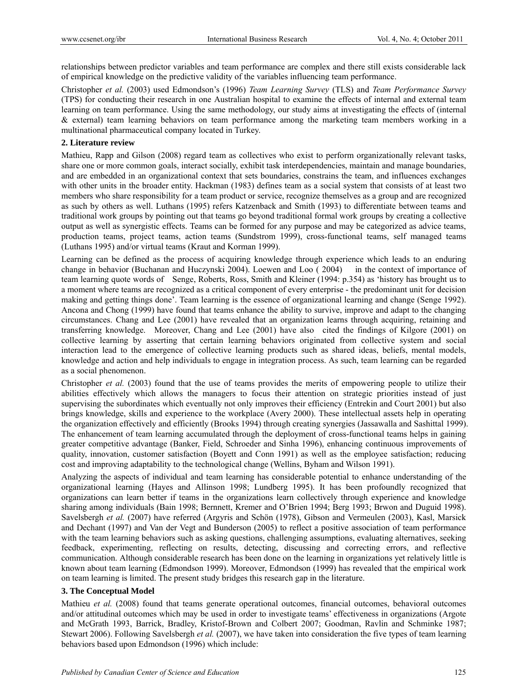relationships between predictor variables and team performance are complex and there still exists considerable lack of empirical knowledge on the predictive validity of the variables influencing team performance.

Christopher *et al.* (2003) used Edmondson's (1996) *Team Learning Survey* (TLS) and *Team Performance Survey* (TPS) for conducting their research in one Australian hospital to examine the effects of internal and external team learning on team performance. Using the same methodology, our study aims at investigating the effects of (internal & external) team learning behaviors on team performance among the marketing team members working in a multinational pharmaceutical company located in Turkey.

## **2. Literature review**

Mathieu, Rapp and Gilson (2008) regard team as collectives who exist to perform organizationally relevant tasks, share one or more common goals, interact socially, exhibit task interdependencies, maintain and manage boundaries, and are embedded in an organizational context that sets boundaries, constrains the team, and influences exchanges with other units in the broader entity. Hackman (1983) defines team as a social system that consists of at least two members who share responsibility for a team product or service, recognize themselves as a group and are recognized as such by others as well. Luthans (1995) refers Katzenback and Smith (1993) to differentiate between teams and traditional work groups by pointing out that teams go beyond traditional formal work groups by creating a collective output as well as synergistic effects. Teams can be formed for any purpose and may be categorized as advice teams, production teams, project teams, action teams (Sundstrom 1999), cross-functional teams, self managed teams (Luthans 1995) and/or virtual teams (Kraut and Korman 1999).

Learning can be defined as the process of acquiring knowledge through experience which leads to an enduring change in behavior (Buchanan and Huczynski 2004). Loewen and Loo (2004) in the context of importance of team learning quote words of Senge, Roberts, Ross, Smith and Kleiner (1994: p.354) as 'history has brought us to a moment where teams are recognized as a critical component of every enterprise - the predominant unit for decision making and getting things done'. Team learning is the essence of organizational learning and change (Senge 1992). Ancona and Chong (1999) have found that teams enhance the ability to survive, improve and adapt to the changing circumstances. Chang and Lee (2001) have revealed that an organization learns through acquiring, retaining and transferring knowledge. Moreover, Chang and Lee (2001) have also cited the findings of Kilgore (2001) on collective learning by asserting that certain learning behaviors originated from collective system and social interaction lead to the emergence of collective learning products such as shared ideas, beliefs, mental models, knowledge and action and help individuals to engage in integration process. As such, team learning can be regarded as a social phenomenon.

Christopher *et al.* (2003) found that the use of teams provides the merits of empowering people to utilize their abilities effectively which allows the managers to focus their attention on strategic priorities instead of just supervising the subordinates which eventually not only improves their efficiency (Entrekin and Court 2001) but also brings knowledge, skills and experience to the workplace (Avery 2000). These intellectual assets help in operating the organization effectively and efficiently (Brooks 1994) through creating synergies (Jassawalla and Sashittal 1999). The enhancement of team learning accumulated through the deployment of cross-functional teams helps in gaining greater competitive advantage (Banker, Field, Schroeder and Sinha 1996), enhancing continuous improvements of quality, innovation, customer satisfaction (Boyett and Conn 1991) as well as the employee satisfaction; reducing cost and improving adaptability to the technological change (Wellins, Byham and Wilson 1991).

Analyzing the aspects of individual and team learning has considerable potential to enhance understanding of the organizational learning (Hayes and Allinson 1998; Lundberg 1995). It has been profoundly recognized that organizations can learn better if teams in the organizations learn collectively through experience and knowledge sharing among individuals (Bain 1998; Bernnett, Kremer and O'Brien 1994; Berg 1993; Brwon and Duguid 1998). Savelsbergh *et al.* (2007) have referred (Argyris and Schön (1978), Gibson and Vermeulen (2003), Kasl, Marsick and Dechant (1997) and Van der Vegt and Bunderson (2005) to reflect a positive association of team performance with the team learning behaviors such as asking questions, challenging assumptions, evaluating alternatives, seeking feedback, experimenting, reflecting on results, detecting, discussing and correcting errors, and reflective communication. Although considerable research has been done on the learning in organizations yet relatively little is known about team learning (Edmondson 1999). Moreover, Edmondson (1999) has revealed that the empirical work on team learning is limited. The present study bridges this research gap in the literature.

#### **3. The Conceptual Model**

Mathieu *et al.* (2008) found that teams generate operational outcomes, financial outcomes, behavioral outcomes and/or attitudinal outcomes which may be used in order to investigate teams' effectiveness in organizations (Argote and McGrath 1993, Barrick, Bradley, Kristof-Brown and Colbert 2007; Goodman, Ravlin and Schminke 1987; Stewart 2006). Following Savelsbergh *et al.* (2007), we have taken into consideration the five types of team learning behaviors based upon Edmondson (1996) which include: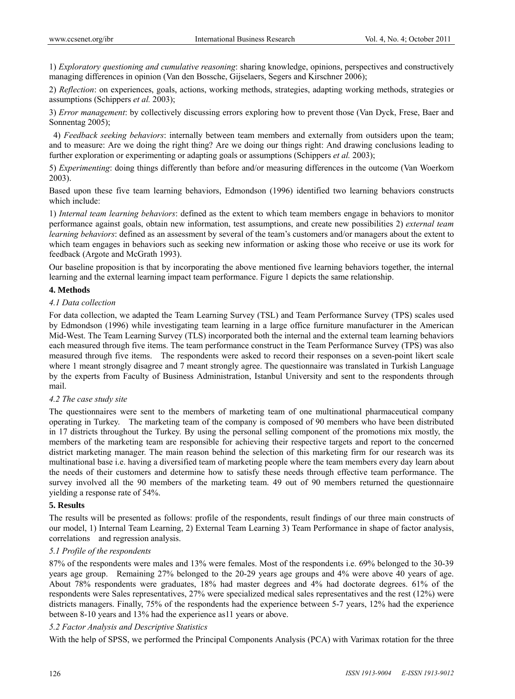1) *Exploratory questioning and cumulative reasoning*: sharing knowledge, opinions, perspectives and constructively managing differences in opinion (Van den Bossche, Gijselaers, Segers and Kirschner 2006);

2) *Reflection*: on experiences, goals, actions, working methods, strategies, adapting working methods, strategies or assumptions (Schippers *et al.* 2003);

3) *Error management*: by collectively discussing errors exploring how to prevent those (Van Dyck, Frese, Baer and Sonnentag 2005);

 4) *Feedback seeking behaviors*: internally between team members and externally from outsiders upon the team; and to measure: Are we doing the right thing? Are we doing our things right: And drawing conclusions leading to further exploration or experimenting or adapting goals or assumptions (Schippers *et al.* 2003);

5) *Experimenting*: doing things differently than before and/or measuring differences in the outcome (Van Woerkom 2003).

Based upon these five team learning behaviors, Edmondson (1996) identified two learning behaviors constructs which include:

1) *Internal team learning behaviors*: defined as the extent to which team members engage in behaviors to monitor performance against goals, obtain new information, test assumptions, and create new possibilities 2) *external team learning behaviors*: defined as an assessment by several of the team's customers and/or managers about the extent to which team engages in behaviors such as seeking new information or asking those who receive or use its work for feedback (Argote and McGrath 1993).

Our baseline proposition is that by incorporating the above mentioned five learning behaviors together, the internal learning and the external learning impact team performance. Figure 1 depicts the same relationship.

#### **4. Methods**

#### *4.1 Data collection*

For data collection, we adapted the Team Learning Survey (TSL) and Team Performance Survey (TPS) scales used by Edmondson (1996) while investigating team learning in a large office furniture manufacturer in the American Mid-West. The Team Learning Survey (TLS) incorporated both the internal and the external team learning behaviors each measured through five items. The team performance construct in the Team Performance Survey (TPS) was also measured through five items. The respondents were asked to record their responses on a seven-point likert scale where 1 meant strongly disagree and 7 meant strongly agree. The questionnaire was translated in Turkish Language by the experts from Faculty of Business Administration, Istanbul University and sent to the respondents through mail.

#### *4.2 The case study site*

The questionnaires were sent to the members of marketing team of one multinational pharmaceutical company operating in Turkey. The marketing team of the company is composed of 90 members who have been distributed in 17 districts throughout the Turkey. By using the personal selling component of the promotions mix mostly, the members of the marketing team are responsible for achieving their respective targets and report to the concerned district marketing manager. The main reason behind the selection of this marketing firm for our research was its multinational base i.e. having a diversified team of marketing people where the team members every day learn about the needs of their customers and determine how to satisfy these needs through effective team performance. The survey involved all the 90 members of the marketing team. 49 out of 90 members returned the questionnaire yielding a response rate of 54%.

#### **5. Results**

The results will be presented as follows: profile of the respondents, result findings of our three main constructs of our model, 1) Internal Team Learning, 2) External Team Learning 3) Team Performance in shape of factor analysis, correlations and regression analysis.

#### *5.1 Profile of the respondents*

87% of the respondents were males and 13% were females. Most of the respondents i.e. 69% belonged to the 30-39 years age group. Remaining 27% belonged to the 20-29 years age groups and 4% were above 40 years of age. About 78% respondents were graduates, 18% had master degrees and 4% had doctorate degrees. 61% of the respondents were Sales representatives, 27% were specialized medical sales representatives and the rest (12%) were districts managers. Finally, 75% of the respondents had the experience between 5-7 years, 12% had the experience between 8-10 years and 13% had the experience as11 years or above.

#### *5.2 Factor Analysis and Descriptive Statistics*

With the help of SPSS, we performed the Principal Components Analysis (PCA) with Varimax rotation for the three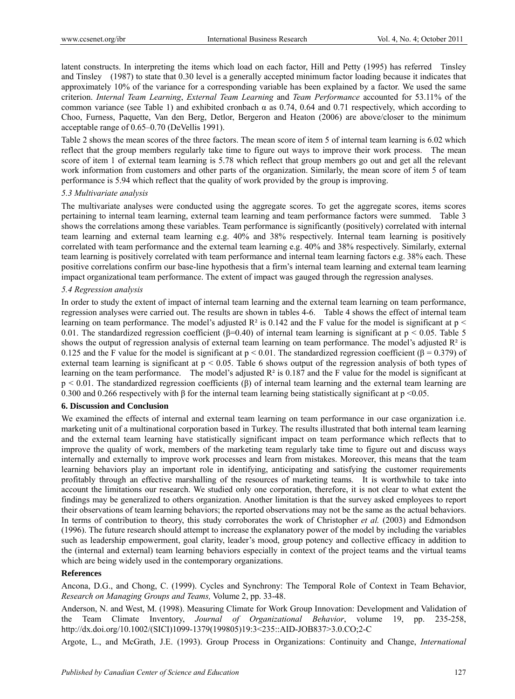latent constructs. In interpreting the items which load on each factor, Hill and Petty (1995) has referred Tinsley and Tinsley (1987) to state that 0.30 level is a generally accepted minimum factor loading because it indicates that approximately 10% of the variance for a corresponding variable has been explained by a factor. We used the same criterion. *Internal Team Learning*, *External Team Learning* and *Team Performance* accounted for 53.11% of the common variance (see Table 1) and exhibited cronbach α as 0.74, 0.64 and 0.71 respectively, which according to Choo, Furness, Paquette, Van den Berg, Detlor, Bergeron and Heaton (2006) are above/closer to the minimum acceptable range of 0.65–0.70 (DeVellis 1991).

Table 2 shows the mean scores of the three factors. The mean score of item 5 of internal team learning is 6.02 which reflect that the group members regularly take time to figure out ways to improve their work process. The mean score of item 1 of external team learning is 5.78 which reflect that group members go out and get all the relevant work information from customers and other parts of the organization. Similarly, the mean score of item 5 of team performance is 5.94 which reflect that the quality of work provided by the group is improving.

#### *5.3 Multivariate analysis*

The multivariate analyses were conducted using the aggregate scores. To get the aggregate scores, items scores pertaining to internal team learning, external team learning and team performance factors were summed. Table 3 shows the correlations among these variables. Team performance is significantly (positively) correlated with internal team learning and external team learning e.g. 40% and 38% respectively. Internal team learning is positively correlated with team performance and the external team learning e.g. 40% and 38% respectively. Similarly, external team learning is positively correlated with team performance and internal team learning factors e.g. 38% each. These positive correlations confirm our base-line hypothesis that a firm's internal team learning and external team learning impact organizational team performance. The extent of impact was gauged through the regression analyses.

## *5.4 Regression analysis*

In order to study the extent of impact of internal team learning and the external team learning on team performance, regression analyses were carried out. The results are shown in tables 4-6. Table 4 shows the effect of internal team learning on team performance. The model's adjusted  $R^2$  is 0.142 and the F value for the model is significant at  $p <$ 0.01. The standardized regression coefficient ( $\beta$ =0.40) of internal team learning is significant at p < 0.05. Table 5 shows the output of regression analysis of external team learning on team performance. The model's adjusted  $R<sup>2</sup>$  is 0.125 and the F value for the model is significant at  $p < 0.01$ . The standardized regression coefficient ( $\beta = 0.379$ ) of external team learning is significant at  $p < 0.05$ . Table 6 shows output of the regression analysis of both types of learning on the team performance. The model's adjusted  $R^2$  is 0.187 and the F value for the model is significant at p < 0.01. The standardized regression coefficients (β) of internal team learning and the external team learning are 0.300 and 0.266 respectively with β for the internal team learning being statistically significant at p <0.05.

# **6. Discussion and Conclusion**

We examined the effects of internal and external team learning on team performance in our case organization i.e. marketing unit of a multinational corporation based in Turkey. The results illustrated that both internal team learning and the external team learning have statistically significant impact on team performance which reflects that to improve the quality of work, members of the marketing team regularly take time to figure out and discuss ways internally and externally to improve work processes and learn from mistakes. Moreover, this means that the team learning behaviors play an important role in identifying, anticipating and satisfying the customer requirements profitably through an effective marshalling of the resources of marketing teams. It is worthwhile to take into account the limitations our research. We studied only one corporation, therefore, it is not clear to what extent the findings may be generalized to others organization. Another limitation is that the survey asked employees to report their observations of team learning behaviors; the reported observations may not be the same as the actual behaviors. In terms of contribution to theory, this study corroborates the work of Christopher *et al.* (2003) and Edmondson (1996). The future research should attempt to increase the explanatory power of the model by including the variables such as leadership empowerment, goal clarity, leader's mood, group potency and collective efficacy in addition to the (internal and external) team learning behaviors especially in context of the project teams and the virtual teams which are being widely used in the contemporary organizations.

#### **References**

Ancona, D.G., and Chong, C. (1999). Cycles and Synchrony: The Temporal Role of Context in Team Behavior, *Research on Managing Groups and Teams,* Volume 2, pp. 33-48.

Anderson, N. and West, M. (1998). Measuring Climate for Work Group Innovation: Development and Validation of the Team Climate Inventory, *Journal of Organizational Behavior*, volume 19, pp. 235-258, http://dx.doi.org/10.1002/(SICI)1099-1379(199805)19:3<235::AID-JOB837>3.0.CO;2-C

Argote, L., and McGrath, J.E. (1993). Group Process in Organizations: Continuity and Change, *International*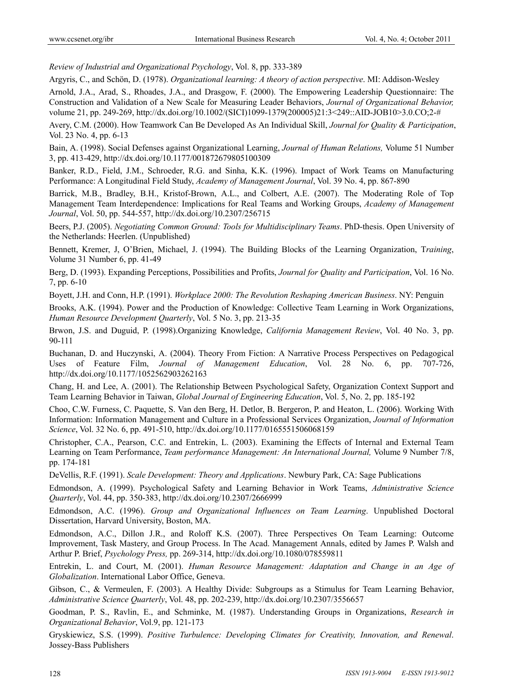*Review of Industrial and Organizational Psychology*, Vol. 8, pp. 333-389

Argyris, C., and Schön, D. (1978). *Organizational learning: A theory of action perspective*. MI: Addison-Wesley

Arnold, J.A., Arad, S., Rhoades, J.A., and Drasgow, F. (2000). The Empowering Leadership Questionnaire: The Construction and Validation of a New Scale for Measuring Leader Behaviors, *Journal of Organizational Behavior,* volume 21, pp. 249-269, http://dx.doi.org/10.1002/(SICI)1099-1379(200005)21:3<249::AID-JOB10>3.0.CO;2-#

Avery, C.M. (2000). How Teamwork Can Be Developed As An Individual Skill, *Journal for Quality & Participation*, Vol. 23 No. 4, pp. 6-13

Bain, A. (1998). Social Defenses against Organizational Learning, *Journal of Human Relations,* Volume 51 Number 3, pp. 413-429, http://dx.doi.org/10.1177/001872679805100309

Banker, R.D., Field, J.M., Schroeder, R.G. and Sinha, K.K. (1996). Impact of Work Teams on Manufacturing Performance: A Longitudinal Field Study, *Academy of Management Journal*, Vol. 39 No. 4, pp. 867-890

Barrick, M.B., Bradley, B.H., Kristof-Brown, A.L., and Colbert, A.E. (2007). The Moderating Role of Top Management Team Interdependence: Implications for Real Teams and Working Groups, *Academy of Management Journal*, Vol. 50, pp. 544-557, http://dx.doi.org/10.2307/256715

Beers, P.J. (2005). *Negotiating Common Ground: Tools for Multidisciplinary Teams*. PhD-thesis. Open University of the Netherlands: Heerlen. (Unpublished)

Bennett, Kremer, J, O'Brien, Michael, J. (1994). The Building Blocks of the Learning Organization, T*raining*, Volume 31 Number 6, pp. 41-49

Berg, D. (1993). Expanding Perceptions, Possibilities and Profits, *Journal for Quality and Participation*, Vol. 16 No. 7, pp. 6-10

Boyett, J.H. and Conn, H.P. (1991). *Workplace 2000: The Revolution Reshaping American Business*. NY: Penguin

Brooks, A.K. (1994). Power and the Production of Knowledge: Collective Team Learning in Work Organizations, *Human Resource Development Quarterly*, Vol. 5 No. 3, pp. 213-35

Brwon, J.S. and Duguid, P. (1998).Organizing Knowledge, *California Management Review*, Vol. 40 No. 3, pp. 90-111

Buchanan, D. and Huczynski, A. (2004). Theory From Fiction: A Narrative Process Perspectives on Pedagogical Uses of Feature Film, *Journal of Management Education*, Vol. 28 No. 6, pp. 707-726, http://dx.doi.org/10.1177/1052562903262163

Chang, H. and Lee, A. (2001). The Relationship Between Psychological Safety, Organization Context Support and Team Learning Behavior in Taiwan, *Global Journal of Engineering Education*, Vol. 5, No. 2, pp. 185-192

Choo, C.W. Furness, C. Paquette, S. Van den Berg, H. Detlor, B. Bergeron, P. and Heaton, L. (2006). Working With Information: Information Management and Culture in a Professional Services Organization, *Journal of Information Science*, Vol. 32 No. 6, pp. 491-510, http://dx.doi.org/10.1177/0165551506068159

Christopher, C.A., Pearson, C.C. and Entrekin, L. (2003). Examining the Effects of Internal and External Team Learning on Team Performance, *Team performance Management: An International Journal,* Volume 9 Number 7/8, pp. 174-181

DeVellis, R.F. (1991). *Scale Development: Theory and Applications*. Newbury Park, CA: Sage Publications

Edmondson, A. (1999). Psychological Safety and Learning Behavior in Work Teams, *Administrative Science Quarterly*, Vol. 44, pp. 350-383, http://dx.doi.org/10.2307/2666999

Edmondson, A.C. (1996). *Group and Organizational Influences on Team Learning*. Unpublished Doctoral Dissertation, Harvard University, Boston, MA.

Edmondson, A.C., Dillon J.R., and Roloff K.S. (2007). Three Perspectives On Team Learning: Outcome Improvement, Task Mastery, and Group Process. In The Acad. Management Annals, edited by James P. Walsh and Arthur P. Brief, *Psychology Press,* pp. 269-314, http://dx.doi.org/10.1080/078559811

Entrekin, L. and Court, M. (2001). *Human Resource Management: Adaptation and Change in an Age of Globalization*. International Labor Office, Geneva.

Gibson, C., & Vermeulen, F. (2003). A Healthy Divide: Subgroups as a Stimulus for Team Learning Behavior, *Administrative Science Quarterly*, Vol. 48, pp. 202-239, http://dx.doi.org/10.2307/3556657

Goodman, P. S., Ravlin, E., and Schminke, M. (1987). Understanding Groups in Organizations, *Research in Organizational Behavior*, Vol.9, pp. 121-173

Gryskiewicz, S.S. (1999). *Positive Turbulence: Developing Climates for Creativity, Innovation, and Renewal*. Jossey-Bass Publishers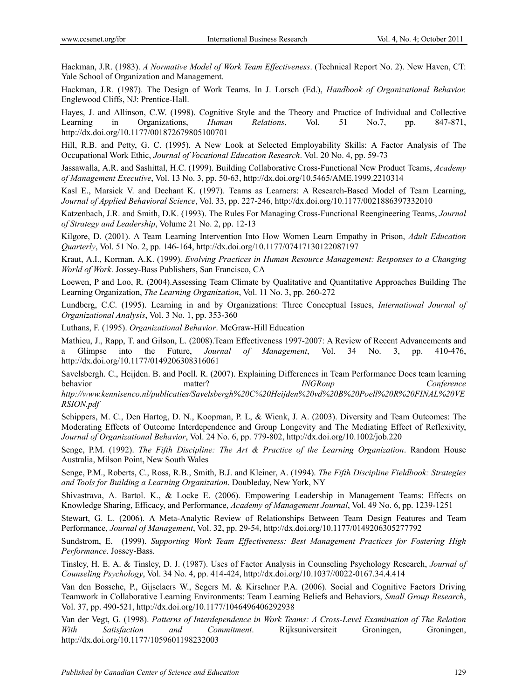*RSION.pdf* 

Hackman, J.R. (1983). *A Normative Model of Work Team Effectiveness*. (Technical Report No. 2). New Haven, CT: Yale School of Organization and Management.

Hackman, J.R. (1987). The Design of Work Teams. In J. Lorsch (Ed.), *Handbook of Organizational Behavior.* Englewood Cliffs, NJ: Prentice-Hall.

Hayes, J. and Allinson, C.W. (1998). Cognitive Style and the Theory and Practice of Individual and Collective Learning in Organizations, *Human Relations*, Vol. 51 No.7, pp. 847-871, http://dx.doi.org/10.1177/001872679805100701

Hill, R.B. and Petty, G. C. (1995). A New Look at Selected Employability Skills: A Factor Analysis of The Occupational Work Ethic, *Journal of Vocational Education Research*. Vol. 20 No. 4, pp. 59-73

Jassawalla, A.R. and Sashittal, H.C. (1999). Building Collaborative Cross-Functional New Product Teams, *Academy of Management Executive*, Vol. 13 No. 3, pp. 50-63, http://dx.doi.org/10.5465/AME.1999.2210314

Kasl E., Marsick V. and Dechant K. (1997). Teams as Learners: A Research-Based Model of Team Learning, *Journal of Applied Behavioral Science*, Vol. 33, pp. 227-246, http://dx.doi.org/10.1177/0021886397332010

Katzenbach, J.R. and Smith, D.K. (1993). The Rules For Managing Cross-Functional Reengineering Teams, *Journal of Strategy and Leadership*, Volume 21 No. 2, pp. 12-13

Kilgore, D. (2001). A Team Learning Intervention Into How Women Learn Empathy in Prison, *Adult Education Quarterly*, Vol. 51 No. 2, pp. 146-164, http://dx.doi.org/10.1177/07417130122087197

Kraut, A.I., Korman, A.K. (1999). *Evolving Practices in Human Resource Management: Responses to a Changing World of Work*. Jossey-Bass Publishers, San Francisco, CA

Loewen, P and Loo, R. (2004).Assessing Team Climate by Qualitative and Quantitative Approaches Building The Learning Organization, *The Learning Organization*, Vol. 11 No. 3, pp. 260-272

Lundberg, C.C. (1995). Learning in and by Organizations: Three Conceptual Issues, *International Journal of Organizational Analysis*, Vol. 3 No. 1, pp. 353-360

Luthans, F. (1995). *Organizational Behavior*. McGraw-Hill Education

Mathieu, J., Rapp, T. and Gilson, L. (2008).Team Effectiveness 1997-2007: A Review of Recent Advancements and a Glimpse into the Future, *Journal of Management*, Vol. 34 No. 3, pp. 410-476, http://dx.doi.org/10.1177/0149206308316061

Savelsbergh. C., Heijden. B. and Poell. R. (2007). Explaining Differences in Team Performance Does team learning behavior matter? *INGRoup Conference http://www.kennisenco.nl/publicaties/Savelsbergh%20C%20Heijden%20vd%20B%20Poell%20R%20FINAL%20VE*

Schippers, M. C., Den Hartog, D. N., Koopman, P. L, & Wienk, J. A. (2003). Diversity and Team Outcomes: The Moderating Effects of Outcome Interdependence and Group Longevity and The Mediating Effect of Reflexivity, *Journal of Organizational Behavior*, Vol. 24 No. 6, pp. 779-802, http://dx.doi.org/10.1002/job.220

Senge, P.M. (1992). *The Fifth Discipline: The Art & Practice of the Learning Organization*. Random House Australia, Milson Point, New South Wales

Senge, P.M., Roberts, C., Ross, R.B., Smith, B.J. and Kleiner, A. (1994). *The Fifth Discipline Fieldbook: Strategies and Tools for Building a Learning Organization*. Doubleday, New York, NY

Shivastrava, A. Bartol. K., & Locke E. (2006). Empowering Leadership in Management Teams: Effects on Knowledge Sharing, Efficacy, and Performance, *Academy of Management Journal*, Vol. 49 No. 6, pp. 1239-1251

Stewart, G. L. (2006). A Meta-Analytic Review of Relationships Between Team Design Features and Team Performance, *Journal of Management*, Vol. 32, pp. 29-54, http://dx.doi.org/10.1177/0149206305277792

Sundstrom, E. (1999). *Supporting Work Team Effectiveness: Best Management Practices for Fostering High Performance*. Jossey-Bass.

Tinsley, H. E. A. & Tinsley, D. J. (1987). Uses of Factor Analysis in Counseling Psychology Research, *Journal of Counseling Psychology*, Vol. 34 No. 4, pp. 414-424, http://dx.doi.org/10.1037//0022-0167.34.4.414

Van den Bossche, P., Gijselaers W., Segers M. & Kirschner P.A. (2006). Social and Cognitive Factors Driving Teamwork in Collaborative Learning Environments: Team Learning Beliefs and Behaviors, *Small Group Research*, Vol. 37, pp. 490-521, http://dx.doi.org/10.1177/1046496406292938

Van der Vegt, G. (1998). *Patterns of Interdependence in Work Teams: A Cross-Level Examination of The Relation With Satisfaction and Commitment*. Rijksuniversiteit Groningen, Groningen, http://dx.doi.org/10.1177/1059601198232003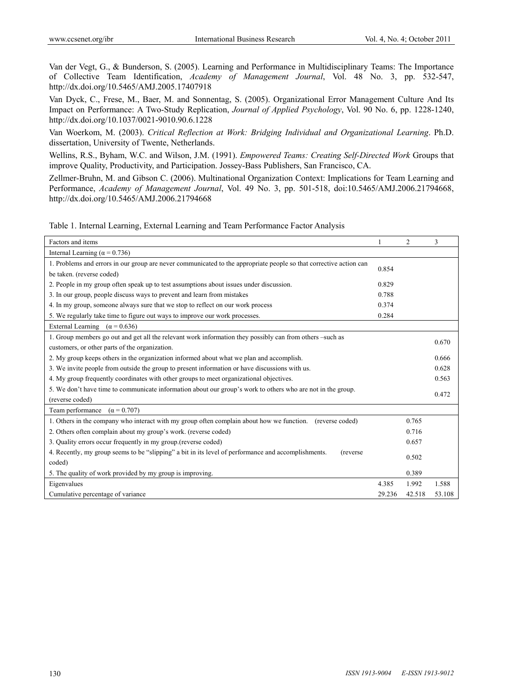Van der Vegt, G., & Bunderson, S. (2005). Learning and Performance in Multidisciplinary Teams: The Importance of Collective Team Identification, *Academy of Management Journal*, Vol. 48 No. 3, pp. 532-547, http://dx.doi.org/10.5465/AMJ.2005.17407918

Van Dyck, C., Frese, M., Baer, M. and Sonnentag, S. (2005). Organizational Error Management Culture And Its Impact on Performance: A Two-Study Replication, *Journal of Applied Psychology*, Vol. 90 No. 6, pp. 1228-1240, http://dx.doi.org/10.1037/0021-9010.90.6.1228

Van Woerkom, M. (2003). *Critical Reflection at Work: Bridging Individual and Organizational Learning*. Ph.D. dissertation, University of Twente, Netherlands.

Wellins, R.S., Byham, W.C. and Wilson, J.M. (1991). *Empowered Teams: Creating Self-Directed Work* Groups that improve Quality, Productivity, and Participation. Jossey-Bass Publishers, San Francisco, CA.

Zellmer-Bruhn, M. and Gibson C. (2006). Multinational Organization Context: Implications for Team Learning and Performance, *Academy of Management Journal*, Vol. 49 No. 3, pp. 501-518, doi:10.5465/AMJ.2006.21794668, http://dx.doi.org/10.5465/AMJ.2006.21794668

Table 1. Internal Learning, External Learning and Team Performance Factor Analysis

| Factors and items                                                                                                  |        | $\overline{2}$ | 3      |  |  |  |
|--------------------------------------------------------------------------------------------------------------------|--------|----------------|--------|--|--|--|
| Internal Learning ( $\alpha$ = 0.736)                                                                              |        |                |        |  |  |  |
| 1. Problems and errors in our group are never communicated to the appropriate people so that corrective action can | 0.854  |                |        |  |  |  |
| be taken. (reverse coded)                                                                                          |        |                |        |  |  |  |
| 2. People in my group often speak up to test assumptions about issues under discussion.                            | 0.829  |                |        |  |  |  |
| 3. In our group, people discuss ways to prevent and learn from mistakes                                            | 0.788  |                |        |  |  |  |
| 4. In my group, someone always sure that we stop to reflect on our work process                                    | 0.374  |                |        |  |  |  |
| 5. We regularly take time to figure out ways to improve our work processes.                                        | 0.284  |                |        |  |  |  |
| External Learning $(\alpha = 0.636)$                                                                               |        |                |        |  |  |  |
| 1. Group members go out and get all the relevant work information they possibly can from others -such as           |        |                | 0.670  |  |  |  |
| customers, or other parts of the organization.                                                                     |        |                |        |  |  |  |
| 2. My group keeps others in the organization informed about what we plan and accomplish.                           |        |                | 0.666  |  |  |  |
| 3. We invite people from outside the group to present information or have discussions with us.                     |        |                |        |  |  |  |
| 4. My group frequently coordinates with other groups to meet organizational objectives.<br>0.563                   |        |                |        |  |  |  |
| 5. We don't have time to communicate information about our group's work to others who are not in the group.        |        |                |        |  |  |  |
| 0.472<br>(reverse coded)                                                                                           |        |                |        |  |  |  |
| Team performance $(\alpha = 0.707)$                                                                                |        |                |        |  |  |  |
| 1. Others in the company who interact with my group often complain about how we function. (reverse coded)          |        | 0.765          |        |  |  |  |
| 2. Others often complain about my group's work. (reverse coded)                                                    |        | 0.716          |        |  |  |  |
| 3. Quality errors occur frequently in my group. (reverse coded)<br>0.657                                           |        |                |        |  |  |  |
| 4. Recently, my group seems to be "slipping" a bit in its level of performance and accomplishments.<br>(reverse)   |        |                |        |  |  |  |
| 0.502<br>coded)                                                                                                    |        |                |        |  |  |  |
| 5. The quality of work provided by my group is improving.<br>0.389                                                 |        |                |        |  |  |  |
| Eigenvalues                                                                                                        | 4.385  | 1.992          | 1.588  |  |  |  |
| Cumulative percentage of variance                                                                                  | 29.236 | 42.518         | 53.108 |  |  |  |